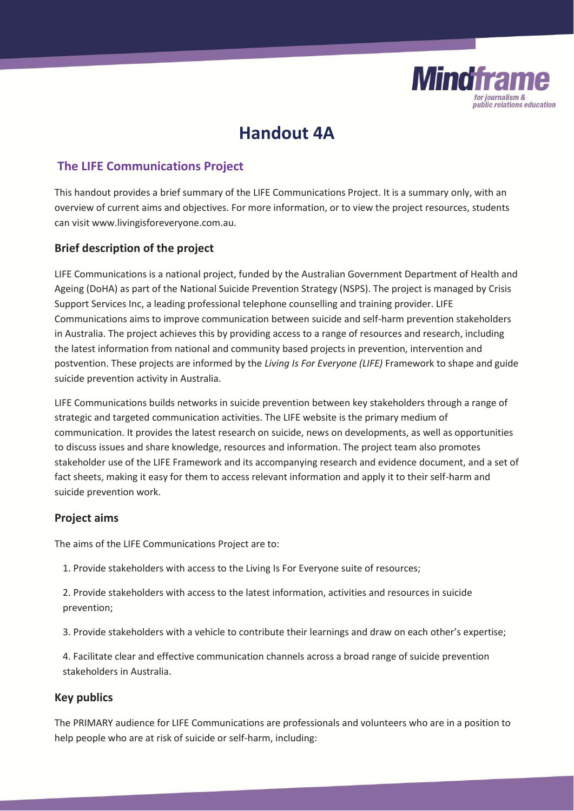

# **Handout 4A**

## **The LIFE Communications Project**

This handout provides a brief summary of the LIFE Communications Project. It is a summary only, with an overview of current aims and objectives. For more information, or to view the project resources, students can visit www.livingisforeveryone.com.au.

## **Brief description of the project**

LIFE Communications is a national project, funded by the Australian Government Department of Health and Ageing (DoHA) as part of the National Suicide Prevention Strategy (NSPS). The project is managed by Crisis Support Services Inc, a leading professional telephone counselling and training provider. LIFE Communications aims to improve communication between suicide and self-harm prevention stakeholders in Australia. The project achieves this by providing access to a range of resources and research, including the latest information from national and community based projects in prevention, intervention and postvention. These projects are informed by the *Living Is For Everyone (LIFE)* Framework to shape and guide suicide prevention activity in Australia.

LIFE Communications builds networks in suicide prevention between key stakeholders through a range of strategic and targeted communication activities. The LIFE website is the primary medium of communication. It provides the latest research on suicide, news on developments, as well as opportunities to discuss issues and share knowledge, resources and information. The project team also promotes stakeholder use of the LIFE Framework and its accompanying research and evidence document, and a set of fact sheets, making it easy for them to access relevant information and apply it to their self-harm and suicide prevention work.

## **Project aims**

The aims of the LIFE Communications Project are to:

- 1. Provide stakeholders with access to the Living Is For Everyone suite of resources;
- 2. Provide stakeholders with access to the latest information, activities and resources in suicide prevention;
- 3. Provide stakeholders with a vehicle to contribute their learnings and draw on each other's expertise;

4. Facilitate clear and effective communication channels across a broad range of suicide prevention stakeholders in Australia.

## **Key publics**

The PRIMARY audience for LIFE Communications are professionals and volunteers who are in a position to help people who are at risk of suicide or self-harm, including: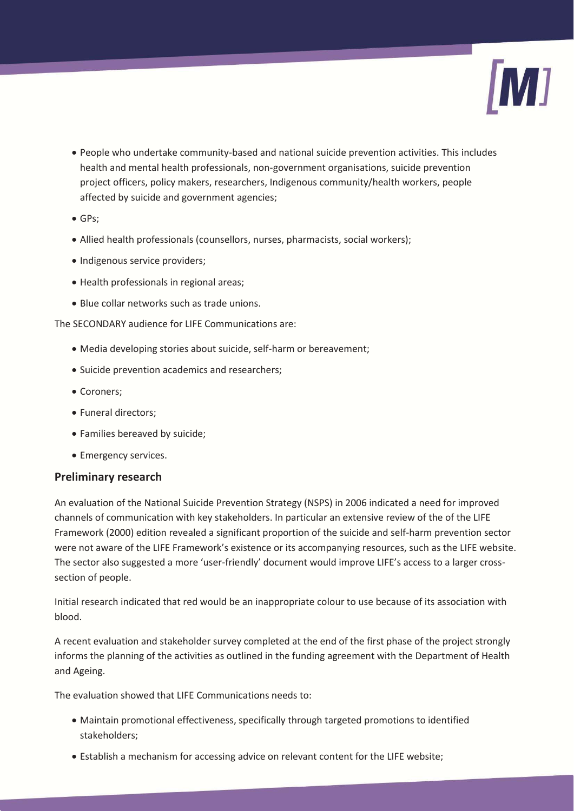

- x People who undertake community-based and national suicide prevention activities. This includes health and mental health professionals, non-government organisations, suicide prevention project officers, policy makers, researchers, Indigenous community/health workers, people affected by suicide and government agencies;
- $\bullet$  GPs;
- Allied health professionals (counsellors, nurses, pharmacists, social workers);
- Indigenous service providers;
- Health professionals in regional areas;
- Blue collar networks such as trade unions.

The SECONDARY audience for LIFE Communications are:

- Media developing stories about suicide, self-harm or bereavement;
- Suicide prevention academics and researchers;
- Coroners;
- Funeral directors;
- Families bereaved by suicide;
- Emergency services.

## **Preliminary research**

An evaluation of the National Suicide Prevention Strategy (NSPS) in 2006 indicated a need for improved channels of communication with key stakeholders. In particular an extensive review of the of the LIFE Framework (2000) edition revealed a significant proportion of the suicide and self-harm prevention sector were not aware of the LIFE Framework's existence or its accompanying resources, such as the LIFE website. The sector also suggested a more 'user-friendly' document would improve LIFE's access to a larger crosssection of people.

Initial research indicated that red would be an inappropriate colour to use because of its association with blood.

A recent evaluation and stakeholder survey completed at the end of the first phase of the project strongly informs the planning of the activities as outlined in the funding agreement with the Department of Health and Ageing.

The evaluation showed that LIFE Communications needs to:

- Maintain promotional effectiveness, specifically through targeted promotions to identified stakeholders;
- Establish a mechanism for accessing advice on relevant content for the LIFE website;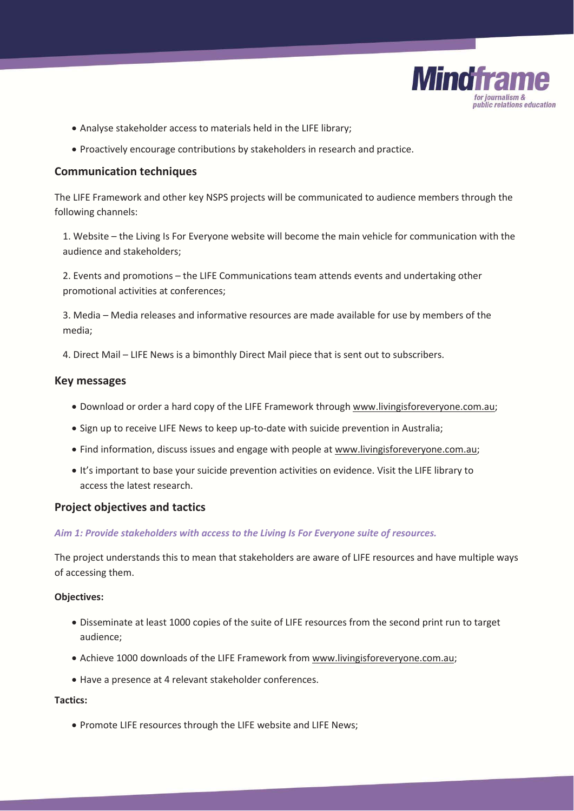

- Analyse stakeholder access to materials held in the LIFE library;
- Proactively encourage contributions by stakeholders in research and practice.

## **Communication techniques**

The LIFE Framework and other key NSPS projects will be communicated to audience members through the following channels:

1. Website – the Living Is For Everyone website will become the main vehicle for communication with the audience and stakeholders;

2. Events and promotions – the LIFE Communications team attends events and undertaking other promotional activities at conferences;

3. Media – Media releases and informative resources are made available for use by members of the media;

4. Direct Mail – LIFE News is a bimonthly Direct Mail piece that is sent out to subscribers.

### **Key messages**

- Download or order a hard copy of the LIFE Framework through www.livingisforeveryone.com.au;
- Sign up to receive LIFE News to keep up-to-date with suicide prevention in Australia;
- Find information, discuss issues and engage with people at www.livingisforeveryone.com.au;
- x It's important to base your suicide prevention activities on evidence. Visit the LIFE library to access the latest research.

## **Project objectives and tactics**

#### *Aim 1: Provide stakeholders with access to the Living Is For Everyone suite of resources.*

The project understands this to mean that stakeholders are aware of LIFE resources and have multiple ways of accessing them.

#### **Objectives:**

- x Disseminate at least 1000 copies of the suite of LIFE resources from the second print run to target audience;
- x Achieve 1000 downloads of the LIFE Framework from www.livingisforeveryone.com.au;
- Have a presence at 4 relevant stakeholder conferences.

#### **Tactics:**

• Promote LIFE resources through the LIFE website and LIFE News;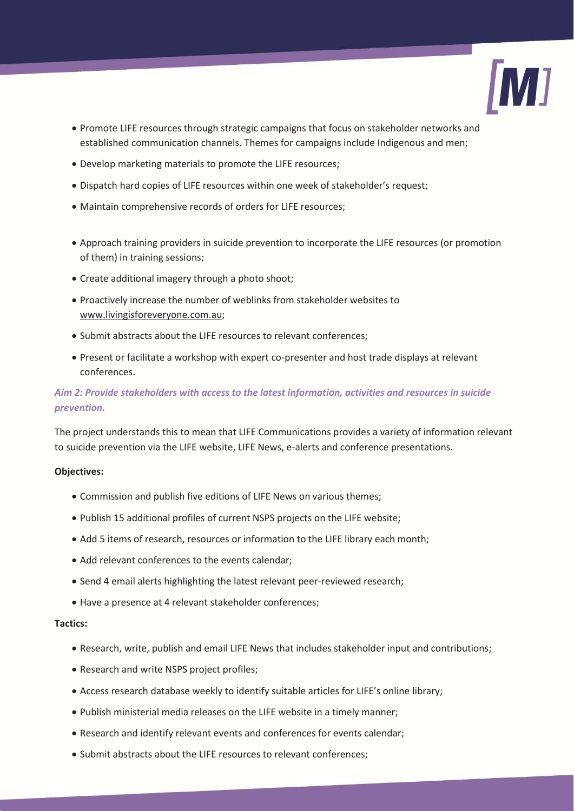

- Promote LIFE resources through strategic campaigns that focus on stakeholder networks and established communication channels. Themes for campaigns include Indigenous and men;
- Develop marketing materials to promote the LIFE resources;
- Dispatch hard copies of LIFE resources within one week of stakeholder's request;
- Maintain comprehensive records of orders for LIFE resources;
- Approach training providers in suicide prevention to incorporate the LIFE resources (or promotion of them) in training sessions;
- Create additional imagery through a photo shoot;
- Proactively increase the number of weblinks from stakeholder websites to www.livingisforeveryone.com.au;
- Submit abstracts about the LIFE resources to relevant conferences;
- x Present or facilitate a workshop with expert co-presenter and host trade displays at relevant conferences.

## *Aim 2: Provide stakeholders with access to the latest information, activities and resources in suicide prevention.*

The project understands this to mean that LIFE Communications provides a variety of information relevant to suicide prevention via the LIFE website, LIFE News, e-alerts and conference presentations.

#### **Objectives:**

- Commission and publish five editions of LIFE News on various themes;
- Publish 15 additional profiles of current NSPS projects on the LIFE website;
- Add 5 items of research, resources or information to the LIFE library each month;
- Add relevant conferences to the events calendar;
- Send 4 email alerts highlighting the latest relevant peer-reviewed research;
- Have a presence at 4 relevant stakeholder conferences;

#### **Tactics:**

- Research, write, publish and email LIFE News that includes stakeholder input and contributions;
- Research and write NSPS project profiles;
- x Access research database weekly to identify suitable articles for LIFE's online library;
- Publish ministerial media releases on the LIFE website in a timely manner;
- Research and identify relevant events and conferences for events calendar;
- Submit abstracts about the LIFE resources to relevant conferences: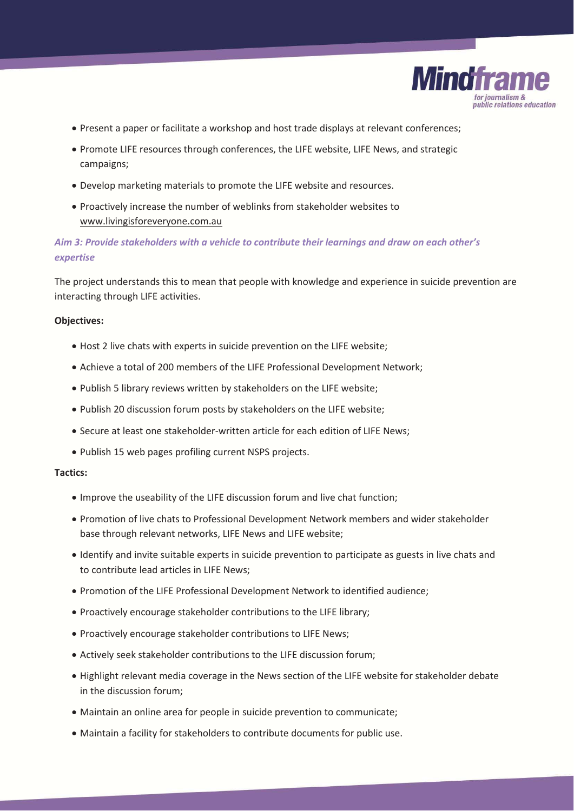

- Present a paper or facilitate a workshop and host trade displays at relevant conferences;
- Promote LIFE resources through conferences, the LIFE website, LIFE News, and strategic campaigns;
- Develop marketing materials to promote the LIFE website and resources.
- Proactively increase the number of weblinks from stakeholder websites to www.livingisforeveryone.com.au

## *Aim 3: Provide stakeholders with a vehicle to contribute their learnings and draw on each other's expertise*

The project understands this to mean that people with knowledge and experience in suicide prevention are interacting through LIFE activities.

#### **Objectives:**

- Host 2 live chats with experts in suicide prevention on the LIFE website;
- Achieve a total of 200 members of the LIFE Professional Development Network;
- Publish 5 library reviews written by stakeholders on the LIFE website;
- Publish 20 discussion forum posts by stakeholders on the LIFE website;
- Secure at least one stakeholder-written article for each edition of LIFE News:
- Publish 15 web pages profiling current NSPS projects.

#### **Tactics:**

- Improve the useability of the LIFE discussion forum and live chat function;
- Promotion of live chats to Professional Development Network members and wider stakeholder base through relevant networks, LIFE News and LIFE website;
- x Identify and invite suitable experts in suicide prevention to participate as guests in live chats and to contribute lead articles in LIFE News;
- Promotion of the LIFE Professional Development Network to identified audience;
- Proactively encourage stakeholder contributions to the LIFE library;
- Proactively encourage stakeholder contributions to LIFE News;
- Actively seek stakeholder contributions to the LIFE discussion forum;
- Highlight relevant media coverage in the News section of the LIFE website for stakeholder debate in the discussion forum;
- Maintain an online area for people in suicide prevention to communicate;
- Maintain a facility for stakeholders to contribute documents for public use.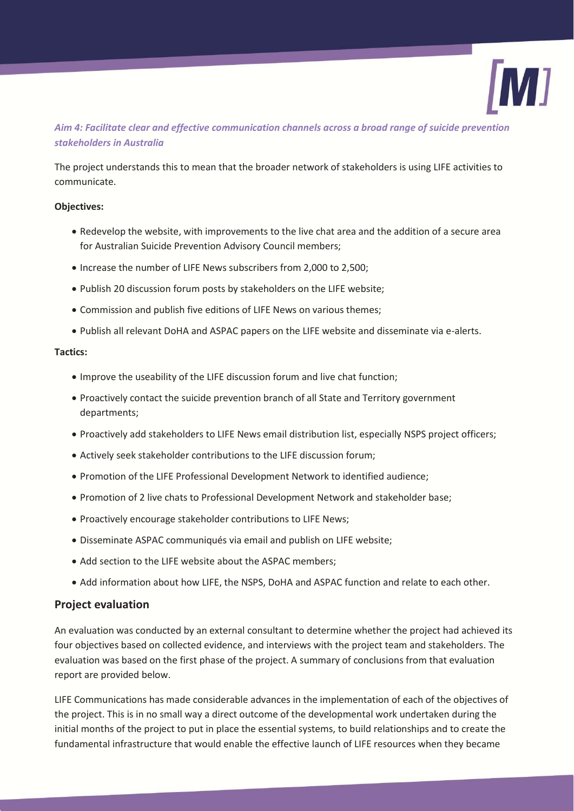

## *Aim 4: Facilitate clear and effective communication channels across a broad range of suicide prevention stakeholders in Australia*

The project understands this to mean that the broader network of stakeholders is using LIFE activities to communicate.

#### **Objectives:**

- Redevelop the website, with improvements to the live chat area and the addition of a secure area for Australian Suicide Prevention Advisory Council members;
- Increase the number of LIFE News subscribers from 2,000 to 2,500;
- Publish 20 discussion forum posts by stakeholders on the LIFE website;
- Commission and publish five editions of LIFE News on various themes;
- x Publish all relevant DoHA and ASPAC papers on the LIFE website and disseminate via e-alerts.

### **Tactics:**

- Improve the useability of the LIFE discussion forum and live chat function;
- Proactively contact the suicide prevention branch of all State and Territory government departments;
- Proactively add stakeholders to LIFE News email distribution list, especially NSPS project officers;
- Actively seek stakeholder contributions to the LIFE discussion forum;
- Promotion of the LIFE Professional Development Network to identified audience;
- Promotion of 2 live chats to Professional Development Network and stakeholder base;
- Proactively encourage stakeholder contributions to LIFE News;
- Disseminate ASPAC communiqués via email and publish on LIFE website;
- Add section to the LIFE website about the ASPAC members;
- Add information about how LIFE, the NSPS, DoHA and ASPAC function and relate to each other.

## **Project evaluation**

An evaluation was conducted by an external consultant to determine whether the project had achieved its four objectives based on collected evidence, and interviews with the project team and stakeholders. The evaluation was based on the first phase of the project. A summary of conclusions from that evaluation report are provided below.

LIFE Communications has made considerable advances in the implementation of each of the objectives of the project. This is in no small way a direct outcome of the developmental work undertaken during the initial months of the project to put in place the essential systems, to build relationships and to create the fundamental infrastructure that would enable the effective launch of LIFE resources when they became